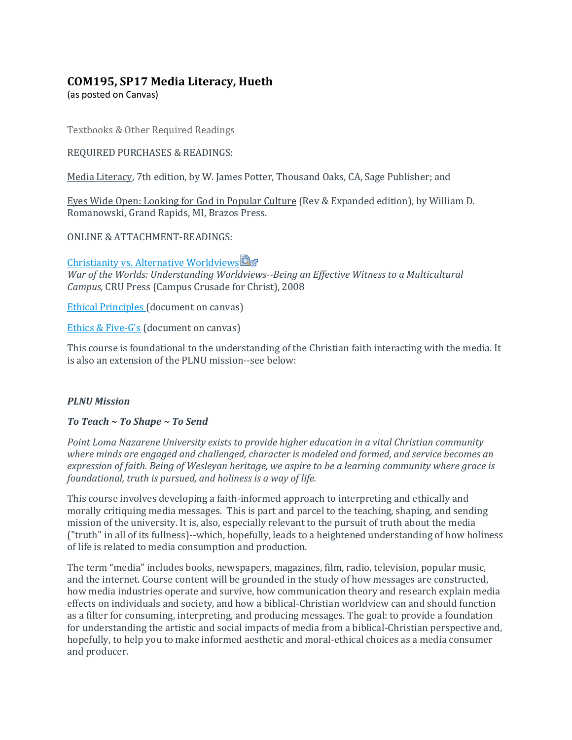# **COM195, SP17 Media Literacy, Hueth**

(as posted on Canvas)

Textbooks & Other Required Readings

### REQUIRED PURCHASES & READINGS:

Media Literacy, 7th edition, by W. James Potter, Thousand Oaks, CA, Sage Publisher; and

Eyes Wide Open: Looking for God in Popular Culture (Rev & Expanded edition), by William D. Romanowski, Grand Rapids, MI, Brazos Press.

ONLINE & ATTACHMENT-READINGS:

# [Christianity vs. Alternative Worldviews](https://canvas.pointloma.edu/courses/31915/files/1110842/download?wrap=1)

*War of the Worlds: Understanding Worldviews--Being an Effective Witness to a Multicultural Campus,* CRU Press (Campus Crusade for Christ), 2008

[Ethical Principles](https://canvas.pointloma.edu/courses/31915/files/1110510/download?wrap=1) (document on canvas)

[Ethics & Five-G's](https://canvas.pointloma.edu/courses/31915/files/1110511/download?wrap=1) (document on canvas)

This course is foundational to the understanding of the Christian faith interacting with the media. It is also an extension of the PLNU mission--see below:

## *PLNU Mission*

*To Teach ~ To Shape ~ To Send*

*Point Loma Nazarene University exists to provide higher education in a vital Christian community where minds are engaged and challenged, character is modeled and formed, and service becomes an expression of faith. Being of Wesleyan heritage, we aspire to be a learning community where grace is foundational, truth is pursued, and holiness is a way of life.*

This course involves developing a faith-informed approach to interpreting and ethically and morally critiquing media messages. This is part and parcel to the teaching, shaping, and sending mission of the university. It is, also, especially relevant to the pursuit of truth about the media ("truth" in all of its fullness)--which, hopefully, leads to a heightened understanding of how holiness of life is related to media consumption and production.

The term "media" includes books, newspapers, magazines, film, radio, television, popular music, and the internet. Course content will be grounded in the study of how messages are constructed, how media industries operate and survive, how communication theory and research explain media effects on individuals and society, and how a biblical-Christian worldview can and should function as a filter for consuming, interpreting, and producing messages. The goal: to provide a foundation for understanding the artistic and social impacts of media from a biblical-Christian perspective and, hopefully, to help you to make informed aesthetic and moral-ethical choices as a media consumer and producer.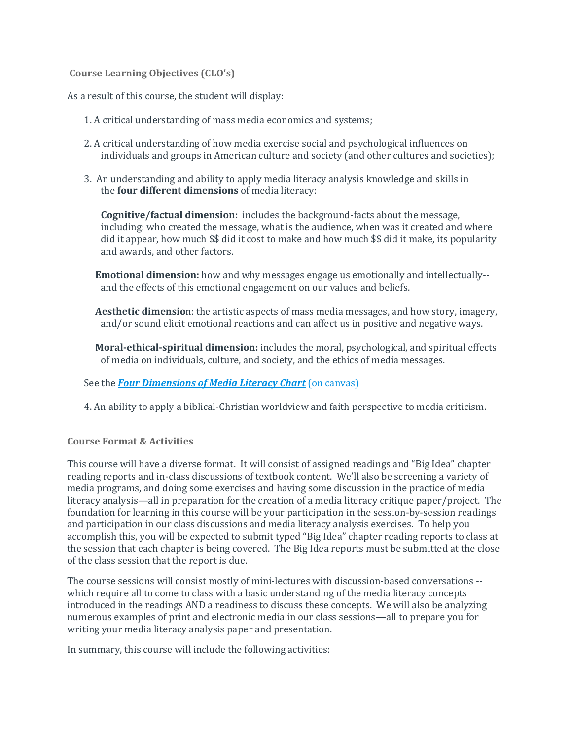### **Course Learning Objectives (CLO's)**

As a result of this course, the student will display:

- 1. A critical understanding of mass media economics and systems;
- 2. A critical understanding of how media exercise social and psychological influences on individuals and groups in American culture and society (and other cultures and societies);
- 3. An understanding and ability to apply media literacy analysis knowledge and skills in the **four different dimensions** of media literacy:

**Cognitive/factual dimension:** includes the background-facts about the message, including: who created the message, what is the audience, when was it created and where did it appear, how much \$\$ did it cost to make and how much \$\$ did it make, its popularity and awards, and other factors.

**Emotional dimension:** how and why messages engage us emotionally and intellectually- and the effects of this emotional engagement on our values and beliefs.

**Aesthetic dimensio**n: the artistic aspects of mass media messages, and how story, imagery, and/or sound elicit emotional reactions and can affect us in positive and negative ways.

**Moral-ethical-spiritual dimension:** includes the moral, psychological, and spiritual effects of media on individuals, culture, and society, and the ethics of media messages.

## See the *[Four Dimensions of Media Literacy Chart](https://canvas.pointloma.edu/courses/31915/files/1110594/download?wrap=1)* (on canvas)

4. An ability to apply a biblical-Christian worldview and faith perspective to media criticism.

## **Course Format & Activities**

This course will have a diverse format. It will consist of assigned readings and "Big Idea" chapter reading reports and in-class discussions of textbook content. We'll also be screening a variety of media programs, and doing some exercises and having some discussion in the practice of media literacy analysis—all in preparation for the creation of a media literacy critique paper/project. The foundation for learning in this course will be your participation in the session-by-session readings and participation in our class discussions and media literacy analysis exercises. To help you accomplish this, you will be expected to submit typed "Big Idea" chapter reading reports to class at the session that each chapter is being covered. The Big Idea reports must be submitted at the close of the class session that the report is due.

The course sessions will consist mostly of mini-lectures with discussion-based conversations - which require all to come to class with a basic understanding of the media literacy concepts introduced in the readings AND a readiness to discuss these concepts. We will also be analyzing numerous examples of print and electronic media in our class sessions—all to prepare you for writing your media literacy analysis paper and presentation.

In summary, this course will include the following activities: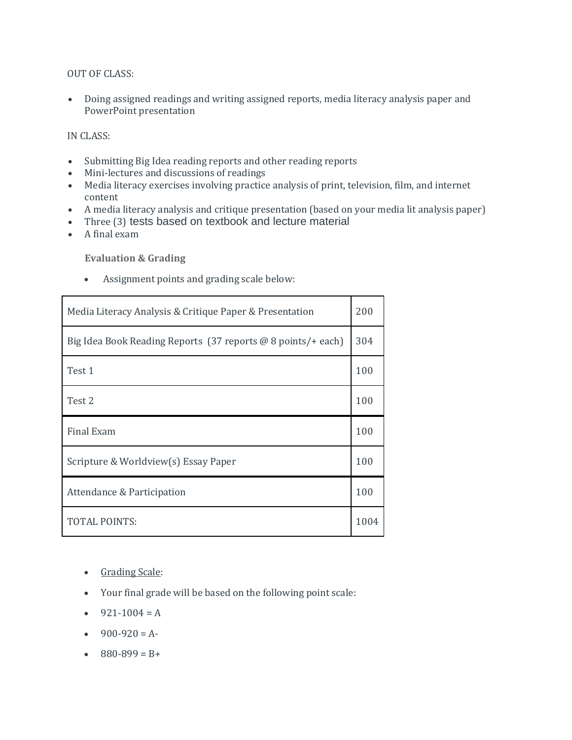### OUT OF CLASS:

 Doing assigned readings and writing assigned reports, media literacy analysis paper and PowerPoint presentation

### IN CLASS:

- Submitting Big Idea reading reports and other reading reports
- Mini-lectures and discussions of readings
- Media literacy exercises involving practice analysis of print, television, film, and internet content
- A media literacy analysis and critique presentation (based on your media lit analysis paper)
- Three (3) tests based on textbook and lecture material
- A final exam

### **Evaluation & Grading**

Assignment points and grading scale below:

| Media Literacy Analysis & Critique Paper & Presentation      | 200 |
|--------------------------------------------------------------|-----|
| Big Idea Book Reading Reports (37 reports @ 8 points/+ each) | 304 |
| Test 1                                                       | 100 |
| Test 2                                                       | 100 |
|                                                              |     |
| <b>Final Exam</b>                                            | 100 |
| Scripture & Worldview(s) Essay Paper                         | 100 |
| Attendance & Participation                                   | 100 |

- Grading Scale:
- Your final grade will be based on the following point scale:
- $-921-1004 = A$
- $-900-920 = A$
- $880-899 = B +$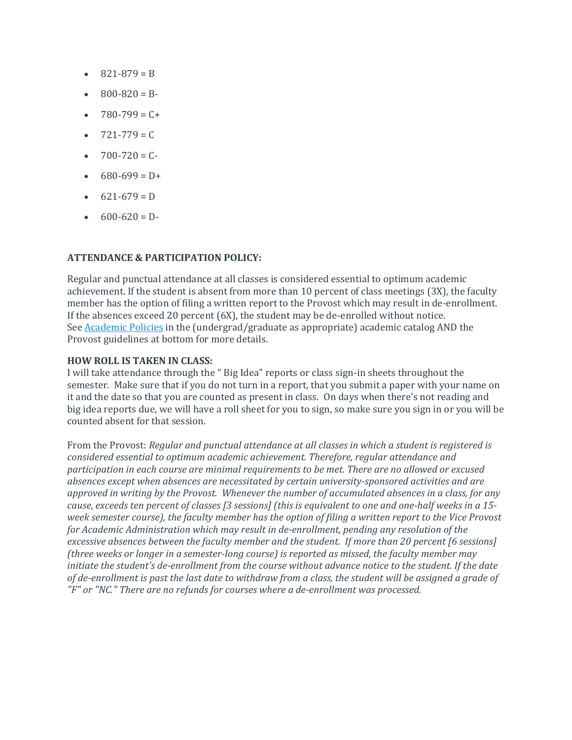- $\bullet$  821-879 = B
- $800 820 = B$
- $-780-799 = C +$
- $-721-779 = C$
- $700 720 = C$
- $680 699 = D +$
- $621 679 = D$
- $600-620 = D$

### **ATTENDANCE & PARTICIPATION POLICY:**

Regular and punctual attendance at all classes is considered essential to optimum academic achievement. If the student is absent from more than 10 percent of class meetings (3X), the faculty member has the option of filing a written report to the Provost which may result in de-enrollment. If the absences exceed 20 percent (6X), the student may be de-enrolled without notice. See **[Academic Policies](http://catalog.pointloma.edu/content.php?catoid=8&navoid=864#Class_Attendance)** in the (undergrad/graduate as appropriate) academic catalog AND the Provost guidelines at bottom for more details.

#### **HOW ROLL IS TAKEN IN CLASS:**

I will take attendance through the " Big Idea" reports or class sign-in sheets throughout the semester. Make sure that if you do not turn in a report, that you submit a paper with your name on it and the date so that you are counted as present in class. On days when there's not reading and big idea reports due, we will have a roll sheet for you to sign, so make sure you sign in or you will be counted absent for that session.

From the Provost: *Regular and punctual attendance at all classes in which a student is registered is considered essential to optimum academic achievement. Therefore, regular attendance and participation in each course are minimal requirements to be met. There are no allowed or excused absences except when absences are necessitated by certain university-sponsored activities and are approved in writing by the Provost. Whenever the number of accumulated absences in a class, for any cause, exceeds ten percent of classes [3 sessions] (this is equivalent to one and one-half weeks in a 15 week semester course), the faculty member has the option of filing a written report to the Vice Provost for Academic Administration which may result in de-enrollment, pending any resolution of the excessive absences between the faculty member and the student. If more than 20 percent [6 sessions] (three weeks or longer in a semester-long course) is reported as missed, the faculty member may initiate the student's de-enrollment from the course without advance notice to the student. If the date of de-enrollment is past the last date to withdraw from a class, the student will be assigned a grade of "F" or "NC." There are no refunds for courses where a de-enrollment was processed.*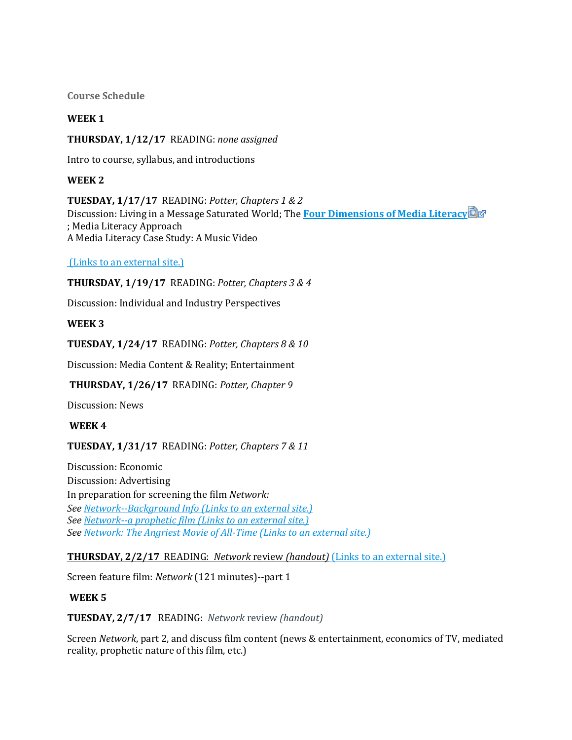**Course Schedule**

## **WEEK 1**

## **THURSDAY, 1/12/17** READING: *none assigned*

Intro to course, syllabus, and introductions

## **WEEK 2**

**TUESDAY, 1/17/17** READING: *Potter, Chapters 1 & 2* Discussion: Living in a Message Saturated World; The **[Four Dimensions of Media Literacy](https://canvas.pointloma.edu/courses/31915/files/1141226/download?wrap=1)** ; Media Literacy Approach A Media Literacy Case Study: A Music Video

(Links to an [external](http://onenewsnow.com/culture/2013/01/02/hitler-statue-a-terrible-affront-to-any-jew) site.)

**THURSDAY, 1/19/17** READING: *Potter, Chapters 3 & 4*

Discussion: Individual and Industry Perspectives

## **WEEK 3**

**TUESDAY, 1/24/17** READING: *Potter, Chapters 8 & 10*

Discussion: Media Content & Reality; Entertainment

## **THURSDAY, 1/26/17** READING: *Potter, Chapter 9*

Discussion: News

## **WEEK 4**

## **TUESDAY, 1/31/17** READING: *Potter, Chapters 7 & 11*

Discussion: Economic Discussion: Advertising In preparation for screening the film *Network: See [Network--Background Info](http://en.wikipedia.org/wiki/Network_%28film%29) (Links to an external site.) See [Network--a prophetic film](http://www.businessinsider.com/spooky-the-1976-movie-network-predicted-youtube-and-two-and-a-half-men-2012-2) (Links to an external site.) See [Network: The Angriest Movie of All-Time](http://www.cnn.com/2014/03/27/showbiz/movies/network-movie-itzkoff-chayefsky/) (Links to an external site.)*

**[THURSDAY, 2/2/17](http://www.cnn.com/2014/03/27/showbiz/movies/network-movie-itzkoff-chayefsky/)** READING: *Network* review *(handout)* (Links to an external site.)

Screen feature film: *Network* (121 minutes)--part 1

## **WEEK 5**

**TUESDAY, 2/7/17** READING: *Network* review *(handout)*

Screen *Network*, part 2, and discuss film content (news & entertainment, economics of TV, mediated reality, prophetic nature of this film, etc.)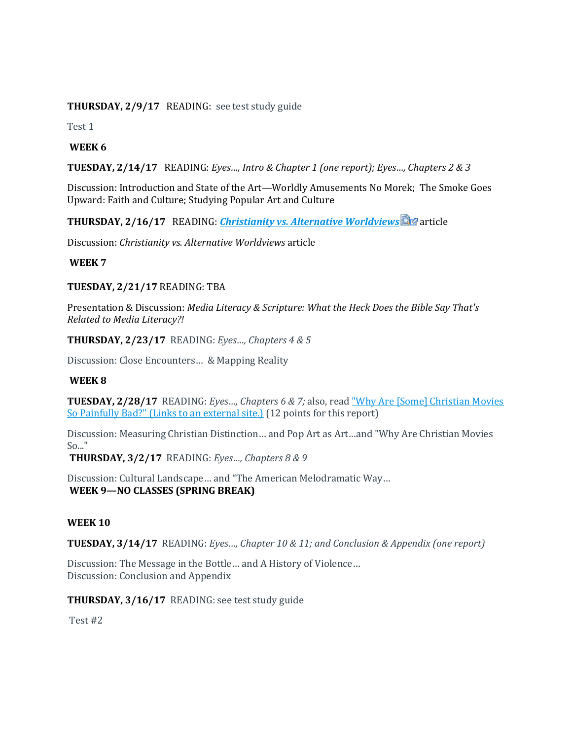**THURSDAY, 2/9/17** READING: see test study guide

Test 1

## **WEEK 6**

**TUESDAY, 2/14/17** READING: *Eyes…, Intro & Chapter 1 (one report); Eyes…, Chapters 2 & 3*

Discussion: Introduction and State of the Art—Worldly Amusements No Morek; The Smoke Goes Upward: Faith and Culture; Studying Popular Art and Culture

**THURSDAY, 2/16/17** READING: *[Christianity vs. Alternative Worldviews](https://canvas.pointloma.edu/courses/31915/files/1110464/download?wrap=1)* article

Discussion: *Christianity vs. Alternative Worldviews* article

### **WEEK 7**

### **TUESDAY, 2/21/17** READING: TBA

Presentation & Discussion: *Media Literacy & Scripture: What the Heck Does the Bible Say That's Related to Media Literacy?!* 

**THURSDAY, 2/23/17** READING: *Eyes…, Chapters 4 & 5*

Discussion: Close Encounters… & Mapping Reality

### **WEEK 8**

**TUESDAY, 2/28/17** READING: *Eyes…, Chapters 6 & 7;* also, read ["Why Are \[Some\] Christian Movies](http://www.vox.com/2015/2/15/8038283/christian-movies-bad-old-fashioned-fifty-shades)  [So Painfully Bad?"](http://www.vox.com/2015/2/15/8038283/christian-movies-bad-old-fashioned-fifty-shades) (Links to an external site.) (12 points for this report)

Discussion: Measuring Christian Distinction… and Pop Art as Art…and "Why Are Christian Movies So..."

**THURSDAY, 3/2/17** READING: *Eyes…, Chapters 8 & 9*

Discussion: Cultural Landscape… and "The American Melodramatic Way… **WEEK 9—NO CLASSES (SPRING BREAK)**

### **WEEK 10**

**TUESDAY, 3/14/17** READING: *Eyes…, Chapter 10 & 11; and Conclusion & Appendix (one report)*

Discussion: The Message in the Bottle… and A History of Violence… Discussion: Conclusion and Appendix

**THURSDAY, 3/16/17** READING: see test study guide

Test #2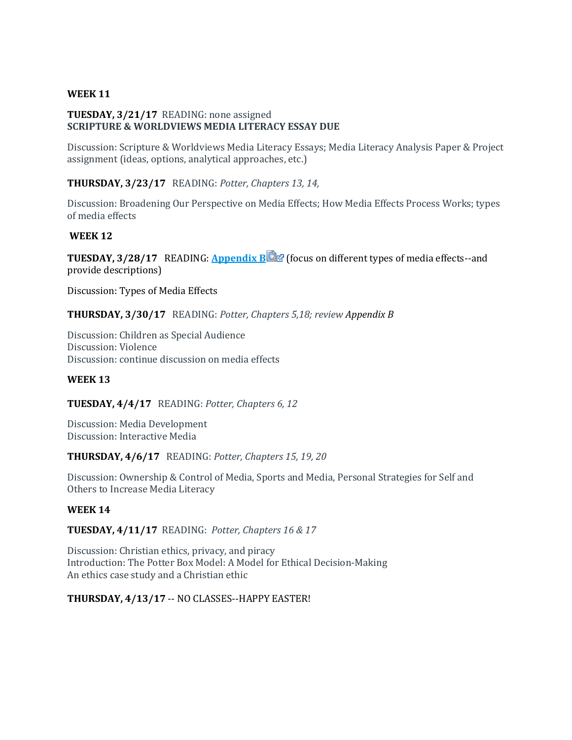### **WEEK 11**

### **TUESDAY, 3/21/17** READING: none assigned **SCRIPTURE & WORLDVIEWS MEDIA LITERACY ESSAY DUE**

Discussion: Scripture & Worldviews Media Literacy Essays; Media Literacy Analysis Paper & Project assignment (ideas, options, analytical approaches, etc.)

### **THURSDAY, 3/23/17** READING: *Potter, Chapters 13, 14,*

Discussion: Broadening Our Perspective on Media Effects; How Media Effects Process Works; types of media effects

### **WEEK 12**

**TUESDAY, 3/28/17** READING: **[Appendix B](https://canvas.pointloma.edu/courses/31915/files/1110508/download?wrap=1) (focus on different types of media effects--and)** provide descriptions)

Discussion: Types of Media Effects

**THURSDAY, 3/30/17** READING: *Potter, Chapters 5,18; review Appendix B* 

Discussion: Children as Special Audience Discussion: Violence Discussion: continue discussion on media effects

### **WEEK 13**

**TUESDAY, 4/4/17** READING: *Potter, Chapters 6, 12*

Discussion: Media Development Discussion: Interactive Media

### **THURSDAY, 4/6/17** READING: *Potter, Chapters 15, 19, 20*

Discussion: Ownership & Control of Media, Sports and Media, Personal Strategies for Self and Others to Increase Media Literacy

#### **WEEK 14**

**TUESDAY, 4/11/17** READING: *Potter, Chapters 16 & 17*

Discussion: Christian ethics, privacy, and piracy Introduction: The Potter Box Model: A Model for Ethical Decision-Making An ethics case study and a Christian ethic

### **THURSDAY, 4/13/17** -- NO CLASSES--HAPPY EASTER!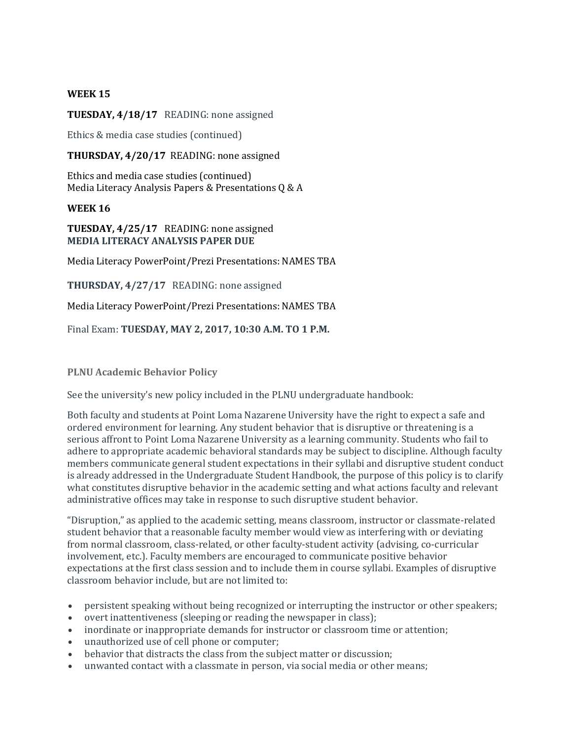### **WEEK 15**

### **TUESDAY, 4/18/17** READING: none assigned

Ethics & media case studies (continued)

**THURSDAY, 4/20/17** READING: none assigned

Ethics and media case studies (continued) Media Literacy Analysis Papers & Presentations Q & A

### **WEEK 16**

**TUESDAY, 4/25/17** READING: none assigned **MEDIA LITERACY ANALYSIS PAPER DUE**

Media Literacy PowerPoint/Prezi Presentations: NAMES TBA

**THURSDAY, 4/27/17** READING: none assigned

Media Literacy PowerPoint/Prezi Presentations: NAMES TBA

Final Exam: **TUESDAY, MAY 2, 2017, 10:30 A.M. TO 1 P.M.**

### **PLNU Academic Behavior Policy**

See the university's new policy included in the PLNU undergraduate handbook:

Both faculty and students at Point Loma Nazarene University have the right to expect a safe and ordered environment for learning. Any student behavior that is disruptive or threatening is a serious affront to Point Loma Nazarene University as a learning community. Students who fail to adhere to appropriate academic behavioral standards may be subject to discipline. Although faculty members communicate general student expectations in their syllabi and disruptive student conduct is already addressed in the Undergraduate Student Handbook, the purpose of this policy is to clarify what constitutes disruptive behavior in the academic setting and what actions faculty and relevant administrative offices may take in response to such disruptive student behavior.

"Disruption," as applied to the academic setting, means classroom, instructor or classmate-related student behavior that a reasonable faculty member would view as interfering with or deviating from normal classroom, class-related, or other faculty-student activity (advising, co-curricular involvement, etc.). Faculty members are encouraged to communicate positive behavior expectations at the first class session and to include them in course syllabi. Examples of disruptive classroom behavior include, but are not limited to:

- persistent speaking without being recognized or interrupting the instructor or other speakers;
- overt inattentiveness (sleeping or reading the newspaper in class);
- inordinate or inappropriate demands for instructor or classroom time or attention;
- unauthorized use of cell phone or computer;
- behavior that distracts the class from the subject matter or discussion;
- unwanted contact with a classmate in person, via social media or other means;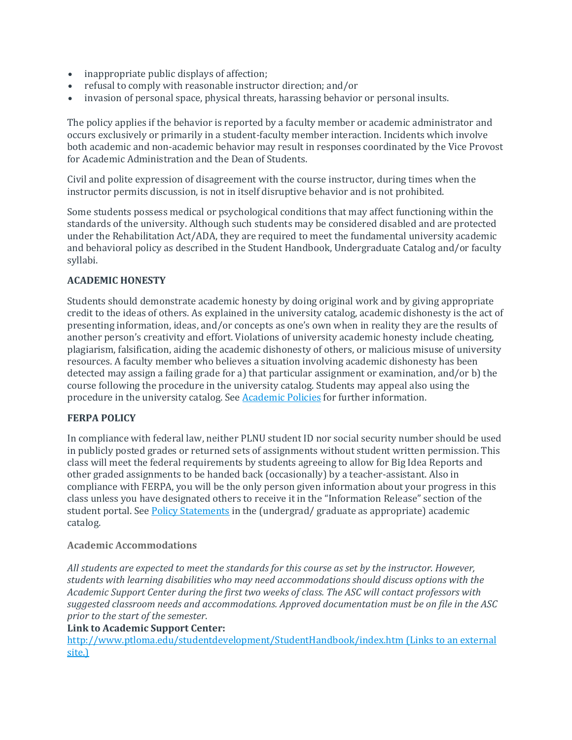- inappropriate public displays of affection;
- refusal to comply with reasonable instructor direction; and/or
- invasion of personal space, physical threats, harassing behavior or personal insults.

The policy applies if the behavior is reported by a faculty member or academic administrator and occurs exclusively or primarily in a student-faculty member interaction. Incidents which involve both academic and non-academic behavior may result in responses coordinated by the Vice Provost for Academic Administration and the Dean of Students.

Civil and polite expression of disagreement with the course instructor, during times when the instructor permits discussion, is not in itself disruptive behavior and is not prohibited.

Some students possess medical or psychological conditions that may affect functioning within the standards of the university. Although such students may be considered disabled and are protected under the Rehabilitation Act/ADA, they are required to meet the fundamental university academic and behavioral policy as described in the Student Handbook, Undergraduate Catalog and/or faculty syllabi.

## **ACADEMIC HONESTY**

Students should demonstrate academic honesty by doing original work and by giving appropriate credit to the ideas of others. As explained in the university catalog, academic dishonesty is the act of presenting information, ideas, and/or concepts as one's own when in reality they are the results of another person's creativity and effort. Violations of university academic honesty include cheating, plagiarism, falsification, aiding the academic dishonesty of others, or malicious misuse of university resources. A faculty member who believes a situation involving academic dishonesty has been detected may assign a failing grade for a) that particular assignment or examination, and/or b) the course following the procedure in the university catalog. Students may appeal also using the procedure in the university catalog. See [Academic Policies](http://www.pointloma.edu/experience/academics/catalogs/undergraduate-catalog/point-loma-education/academic-policies) for further information.

## **FERPA POLICY**

In compliance with federal law, neither PLNU student ID nor social security number should be used in publicly posted grades or returned sets of assignments without student written permission. This class will meet the federal requirements by students agreeing to allow for Big Idea Reports and other graded assignments to be handed back (occasionally) by a teacher-assistant. Also in compliance with FERPA, you will be the only person given information about your progress in this class unless you have designated others to receive it in the "Information Release" section of the student portal. See **[Policy Statements](http://www.pointloma.edu/experience/academics/catalogs/undergraduate-catalog/policy-statements)** in the (undergrad/ graduate as appropriate) academic catalog.

## **Academic Accommodations**

*All students are expected to meet the standards for this course as set by the instructor. However, students with learning disabilities who may need accommodations should discuss options with the Academic Support Center during the first two weeks of class. The ASC will contact professors with suggested classroom needs and accommodations. Approved documentation must be on file in the ASC prior to the start of the semester*.

## **Link to Academic Support Center:**

<http://www.ptloma.edu/studentdevelopment/StudentHandbook/index.htm> (Links to an external [site.\)](http://www.ptloma.edu/studentdevelopment/StudentHandbook/index.htm)